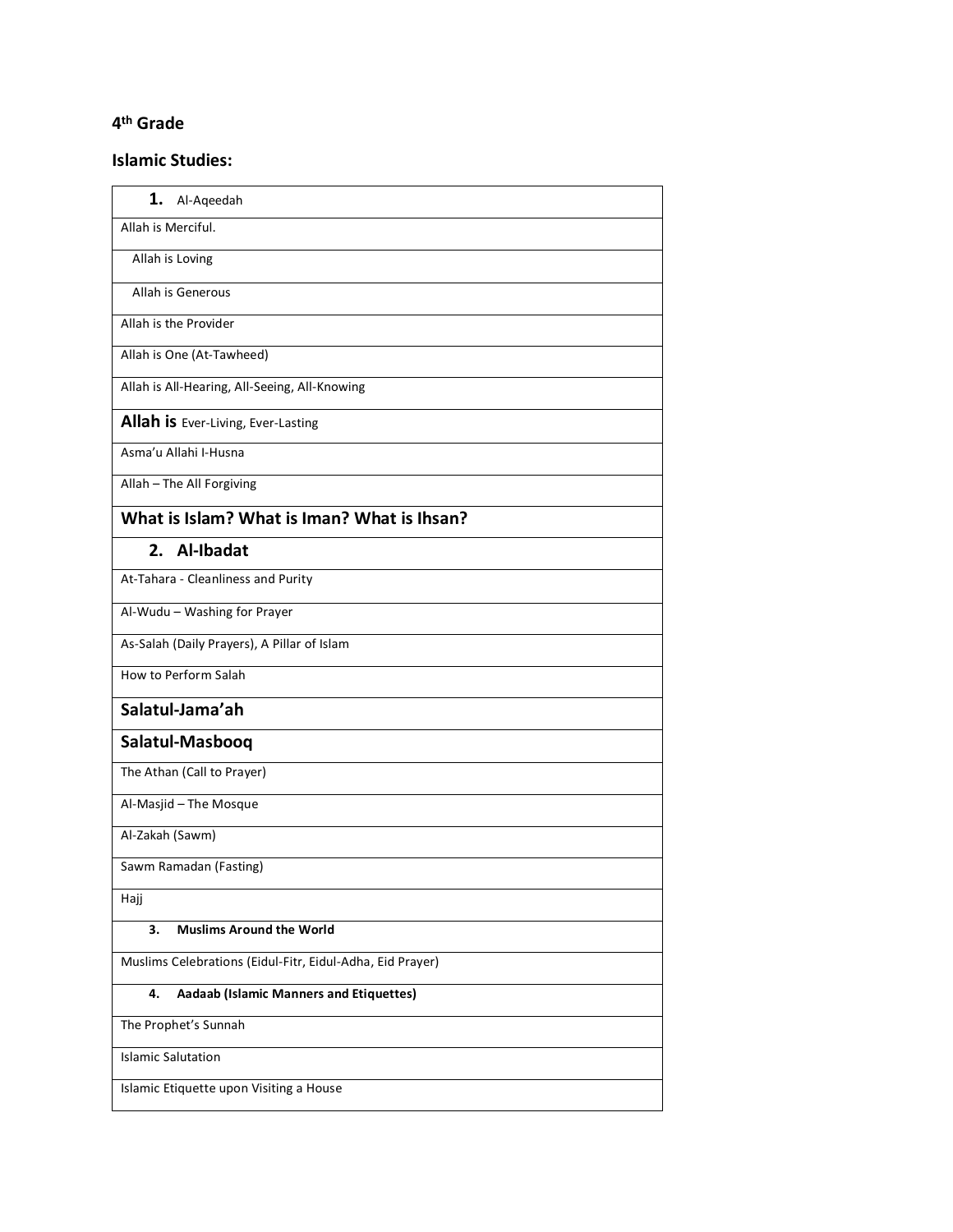## **4th Grade**

## **Islamic Studies:**

| 1.<br>Al-Aqeedah                                          |
|-----------------------------------------------------------|
| Allah is Merciful.                                        |
| Allah is Loving                                           |
| Allah is Generous                                         |
| Allah is the Provider                                     |
| Allah is One (At-Tawheed)                                 |
| Allah is All-Hearing, All-Seeing, All-Knowing             |
| Allah is Ever-Living, Ever-Lasting                        |
| Asma'u Allahi I-Husna                                     |
| Allah - The All Forgiving                                 |
| What is Islam? What is Iman? What is Ihsan?               |
| 2. Al-Ibadat                                              |
| At-Tahara - Cleanliness and Purity                        |
| Al-Wudu - Washing for Prayer                              |
| As-Salah (Daily Prayers), A Pillar of Islam               |
| How to Perform Salah                                      |
| Salatul-Jama'ah                                           |
| Salatul-Masbooq                                           |
| The Athan (Call to Prayer)                                |
| Al-Masjid - The Mosque                                    |
| Al-Zakah (Sawm)                                           |
| Sawm Ramadan (Fasting)                                    |
| Hajj                                                      |
| <b>Muslims Around the World</b><br>3.                     |
| Muslims Celebrations (Eidul-Fitr, Eidul-Adha, Eid Prayer) |
| Aadaab (Islamic Manners and Etiquettes)<br>4.             |
| The Prophet's Sunnah                                      |
| <b>Islamic Salutation</b>                                 |
| Islamic Etiquette upon Visiting a House                   |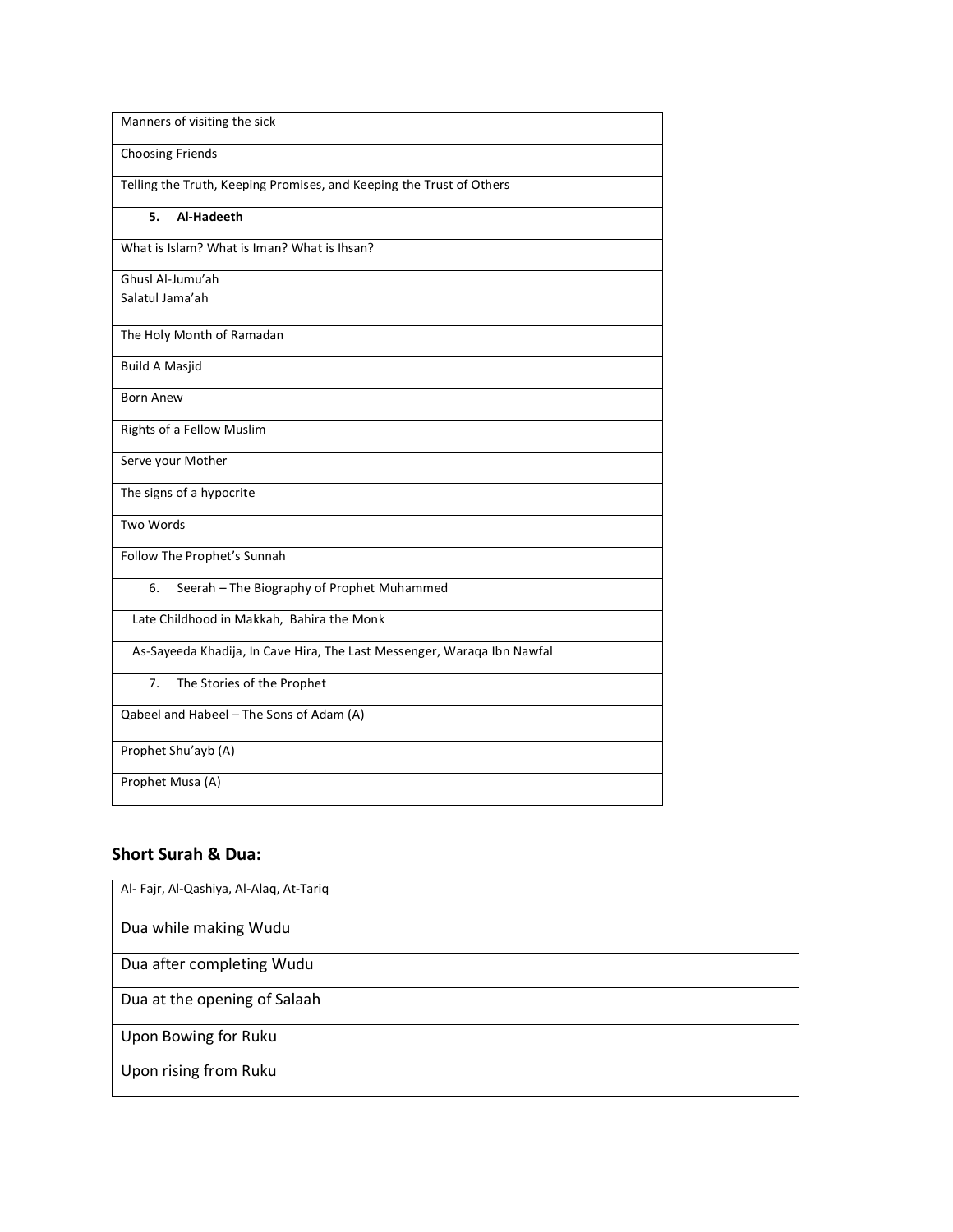| Manners of visiting the sick                                            |
|-------------------------------------------------------------------------|
| Choosing Friends                                                        |
| Telling the Truth, Keeping Promises, and Keeping the Trust of Others    |
| Al-Hadeeth<br>5.                                                        |
| What is Islam? What is Iman? What is Ihsan?                             |
| Ghusl Al-Jumu'ah                                                        |
| Salatul Jama'ah                                                         |
| The Holy Month of Ramadan                                               |
| <b>Build A Masjid</b>                                                   |
| <b>Born Anew</b>                                                        |
| Rights of a Fellow Muslim                                               |
| Serve your Mother                                                       |
| The signs of a hypocrite                                                |
| Two Words                                                               |
| Follow The Prophet's Sunnah                                             |
| Seerah - The Biography of Prophet Muhammed<br>6.                        |
| Late Childhood in Makkah, Bahira the Monk                               |
| As-Sayeeda Khadija, In Cave Hira, The Last Messenger, Waraqa Ibn Nawfal |
| 7.<br>The Stories of the Prophet                                        |
| Qabeel and Habeel - The Sons of Adam (A)                                |
| Prophet Shu'ayb (A)                                                     |
| Prophet Musa (A)                                                        |

## **Short Surah & Dua:**

| Al- Fajr, Al-Qashiya, Al-Alaq, At-Tariq |
|-----------------------------------------|
| Dua while making Wudu                   |
| Dua after completing Wudu               |
| Dua at the opening of Salaah            |
| Upon Bowing for Ruku                    |
| Upon rising from Ruku                   |